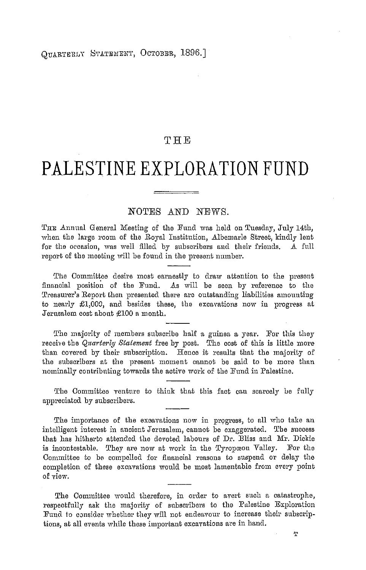# THE

# PALESTINE EXPLORATION FUND

## NOTES AND NEWS.

THE Annual General Meeting of the Fund was held on Tuesday, July 14th, when the large room of the Royal Institution, Albemarle Street, kindly lent for the occasion, was well filled by subscribers and their friends. A full report of the meeting will be found in the present number.

The Committee desire most earnestly to draw attention to the present financial position of the Fund. As will be seen by reference to the Treasurer's Report then presented there are outstanding liabilities amounting to nearly £1,000, and besides these, the excavations now in progress at Jerusalem cost about £100 a month.

The majority of members subscribe half a guinea a year. For this they receive the Quarterly Statement free by post. The cost of this is little more than covered by their subscription. Hence it results that the majority of the subscribers at the present moment cannot be said to be more than nominally contributing towards the active work of the Fund in Palestine.

The Committee venture to think that this fact can scarcely be fully appreciated by subscribers.

The importance of the excavations now in progress, to all who take an intelligent interest in ancient Jerusalem, cannot be exaggerated. The success that has hitherto attended the devoted labours of Dr. Bliss and Mr. Dickie is incontestable. They are now at work in the Tyropœon Valley. For the Committee to be compelled for financial reasons to suspend or delay the completion of these excavations would be most lamentable from every point of view.

The Committee would therefore, in order to avert such a catastrophe, respectfully ask the majority of subscribers to the Palestine Exploration Fund to consider whether they will not endeavour to increase their subscriptions, at all events while these important excavations are in hand.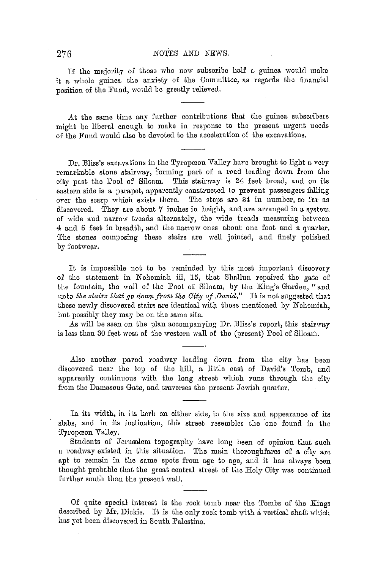## 276 NOTES AND NEWS.

If the majority of those who now subscribe lmlf a guinea would make it a whole guinea the anxiety of tho Committee, as regards the financial position of the Fund, would be greatly relieved.

At the same time any further contributions that the guinea subscribers might be liberal enough to make in response to the present urgent needs of the Fund would also be devoted to the acceleration of the excavations.

Dr. Bliss's excavations in the Tyropœon Valley have brought to light a very remarkable stone stairway, forming part of a road leading down from the city past the Pool of Siloam. This stairway is 24 feet broad, and on its eastern side is a parapet, apparently constructed to prevent passengers falling over the scarp which exists there. The steps aro 34 in number, so for as discovered. They are about  $7$  inches in height, and are arranged in a system of wide and narrow treads alternately, the wide treads measuring between 4 and 5 feet in breadth, and the narrow ones about one foot and a quarter. The stones composing these stairs are well jointed, and finely polished by footwear.

It is impossible not to be reminded by this most important discovery of the statement in Nehemiah iii, 15, that Shallun repairocl the gate of the fountain, the wall of the Pool of Siloam, by the King's Gardon, "ancl unto *the stairs that go down from the City of David.*" It is not snggested that these newly discovered stairs are identical with those mentioned by Nehemiah, but possibly they may be on the samo site.

As will be seen on the plan accompanying Dr. Bliss's report, this stairway is less than 30 feet west of the western wall of the (present) Pool of Siloam.

Also another paved roadway leading down from the city has been discovered near the top of the hill, a little east of David's Tomb, and apparently continuous with the long street which runs through tho city from the Damascus Gate, and traverses the present Jewish quarter.

In its width, in its korb on either side, in the size and appearance of its slabs, and in its inclination, this street resembles the one found in the Tyropœon Valley.

Students of Jerusalem topography have long been of opinion that such a roaclway existed in this situation. The main thoroughfares of a o{ty are apt to remain in the samo spots from age to age, and it has always beon thought probable that the groat central street of the Holy City was continued further south than the present wall.

Of quite special interest is the rock tomb near the Tombs of the Kings described by Mr. Dickie. It is the only rock tomb with a vertical shaft which has yet been discovered in South Palestine.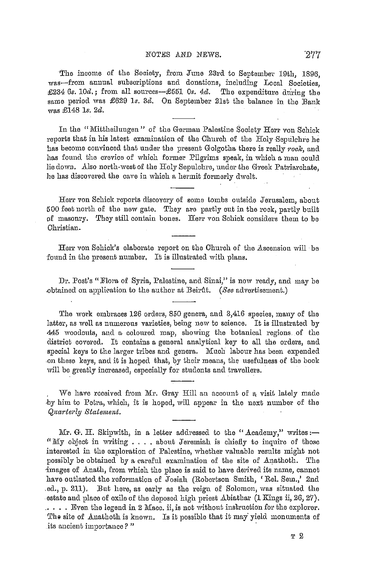#### NOT.ES AND NEWS, ·277

The income of the Society, from June 23rd to September 19th, 1896. was-from annual subscriptions and donations, including Local Societies, £234 6s. 10d.; from all sources-£551 0s. 4d. The expenditure during the same periocl was £629 *ls. Bel.* On September 21st the balance in the Bank was £148 *ls. 2cl.* 

In the "Mittheilungen" of the German Palestine Society Herr von Schick reports that in his latest examination of the Church of the Holy Sepulchre he has become convinced that under the present Golgotha there is really rock, and has found the crevice of which former Pilgrims speak, in which a man could lie down. Also north-west of the Holy Sepulchre, under the Greek Patriarchate, he has discovered the cave in which a hermit formerly dwelt.

Herr von Schick reports discovery of some tombs outside Jerusalem, about 500 feet north of the new gate. They are partly cut in the rock, partly built of masomy. They still contain bones. Herr von Schick consiclers them to be Christian.

Herr von Schick's elaborate report on the Church of the Ascension will be found in the present number. It is illustrated with plans.

Dr. Post's "Flora of Syria, Palestine, and Sinai," is now ready, and may be .obtuinecl on applieation to the author at Beirfrt. *(See* aclvertisement.)

The work embraces 126 orders, 850 genera, and 3,416 species, many of the latter, as well as numerous varieties, being new to science. It is illustratecl by 445 woodcuts, and a coloured map, showing the botanical regions of the clistrict coverecl. It contains a general analytical key to all the orders, ancl special keys to the larger tribes and genera. Much labour has been expended on these keys, and it is hoped that, by their means, the usefulness of the book will be greatly increased, especially for students and travellers.

*'\Ve* have received from Mr. Gray Hill an uccount of a, visit lately macle by him to Petra, which, it is hoped, will appear in the next number of the *Qucwterly Statement.* 

Mr. G. H. Skipwith, in a letter addressed to the "Academy," writes:-" My object in writing .... about Jeremiah is chiefly to inquire of those interested in the exploration of Palestine, whether valuable results might not possibly be obtained by a careful examination of the site of Anathoth. The images of Anath, from which the place is said to have derived its name, cannot have outlasted the reformation of Josiah (Robertson Smith, 'Rel. Sem.,' 2nd ed., p. 211). But here, as early as the reign of Solomon, was situated the estate and place of exile of the deposed high priest Abiathar  $(1 \text{ Kings ii}, 26, 27)$ . .• . . . Even the legend in 2 Mace. ii, is not without instruction for the explorer. The site of Anathoth is known. Is it possible that it may yield monuments of its ancient importance? "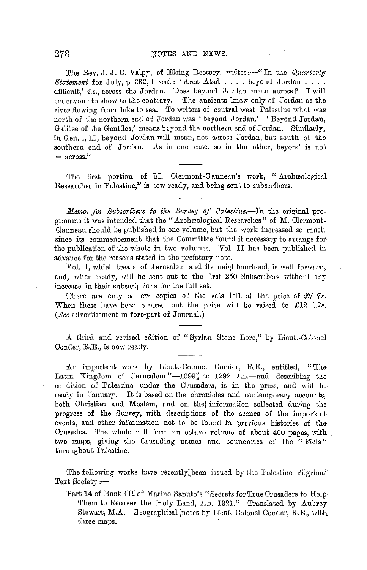The Rev. J. J. C. Valpy, of Elsing Rectory, writes:-" In the Quarterly Statement for July, p. 232, I read: 'Area Atad . . . . beyond Jordan . . . . difficult,' i.e., across the Jordan. Does beyond Jordan mean across? I will endeavour to show to the contrary. The ancients knew only of Jordan as the river flowing from lake to sea. To writers of central west Palestine what was north of the northern end of Jordan was 'beyond Jordan.' 'Beyond Jordan, Galilee of the Gentiles,' means bayond the northern end of Jordan. Similarly, in Gen. 1, 11, beyond Jordan will mean, not across Jordan, but south of the southern end of Jordan. As in one case, so in the other, beyond is not  $=$  across."

The first portion of M. Clermont-Ganneau's work, "Archaeological Researches in Palestine," is now ready, and being sent to subscribers.

Memo. for Subscribers to the Survey of Palestine.—In the original programme it was intended that the "Archaeological Researches" of M. Clermont-Ganneau should be published in one volume, but the work increased so much since its commencement that the Committee found it necessary to arrange for the publication of the whole in two volumes. Vol. II has been published in advance for the reasons stated in the prefatory note.

Vol. I, which treats of Jerusalem and its neighbourhood, is well forward, and, when ready, will be sent out to the first 250 Subscribers without any increase in their subscriptions for the full set.

There are only a few copies of the sets left at the price of  $\mathcal{L}7$  7s. When these have been cleared out the price will be raised to £12 12s. (See advertisement in fore-part of Journal.)

A third and revised edition of "Syrian Stone Lore," by Lieut.-Colonel Conder, R.E., is now ready.

An important work by Lieut.-Colonel Conder, R.E., entitled, "The Latin Kingdom of Jerusalem"--1099" to 1292 A.D.-and describing the condition of Palestine under the Crusaders, is in the press, and will be ready in January. It is based on the chronicles and contemporary accounts, both Christian and Moslem, and on the information collected during the progress of the Survey, with descriptions of the scenes of the important events, and other information not to be found in previous histories of the Crusades. The whole will form an octavo volume of about 400 pages, with two maps, giving the Crusading names and boundaries of the "Fiefs" throughout Palestine.

The following works have recently been issued by the Palestine Pilgrims' Text Society :-

Part 14 of Book III of Marino Sanuto's "Secrets for True Crusaders to Help-Them to Recover the Holy Land, A.D. 1321." Translated by Aubrey Stewart, M.A. Geographical [notes by Lieut.-Colonel Conder, R.E., with three maps.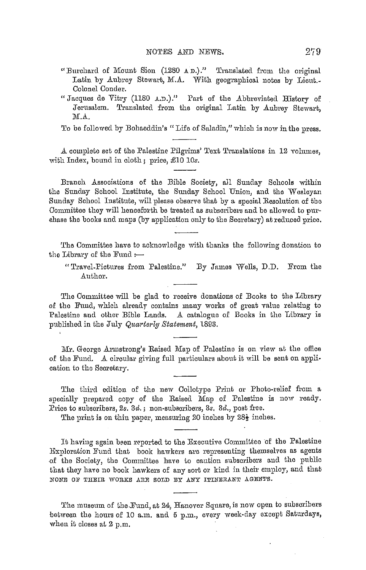- "Burchard of Mount Sion (1280 A D.)." Translated from the original Latin by Aubrey Stewart, M.A. With geographical notes by Lieut. Colonel Conder.
- "Jacques de Vitry (1180 A.D.)." Part of the Abbreviated History of Jerusalem. Translated from the original Latin by Aubrey Stewart, M.A.

To be followed by Bohaeddin's "Life of Saladin," which is now in the press.

A complete set of the Palestine Pilgrims' Text Translations in 12 volumes, with Index, bound in cloth; price, £10 10s.

Branch Associations of the Bible Society, all Sunday Schools within the Sunday School Institute, the Sunday School Union, and the Wesleyan Sunday School Institute, will please observe that by a special Resolution of the Committee they will henceforth be treated as subscribers and be allowed to purchase the books and maps (by application only to the Secretary) at reduced price.

'l'he Committee have to acknowledge with thanks the following donation to the Library of the Fund  $:$ --

"Travel-Pictures from Palestine." By James Wells, D.D. From the .Author.

The Committee will be glad to receive donations of Books to the Library of the Fund, which already contains many works of great value relating to Palestine and other Bible Lands. A catalogue of Books in the Library is published in the July *Quarterly Statement,* 1898.

Mr. George Armstrong's Raised Map of Palestine is on view at the office of the Fund. A circular giving full particulars about it will be sent on application to the Secretary.

The third edition of the new Collotype Print or Photo-relief from a specially prepared copy of the Raised Map of Palestine is now ready. Price to subscribers, *2s.* 3d.; non-subscribers, 3s. 3d., post free.

The print is on thin paper, measuring 20 inches by  $28\frac{1}{2}$  inches.

It having again been reported to the Executive Committee of the Palestine Exploration Fund that book hawkers are representing themselves as agents of the Society, the Committee have to caution subscribers and the public that they have no book hawkers of any sort or kind in their employ, and that NONE OF THEIR WORKS ARE SOLD BY ANY ITINERANT AGENTS.

The museum of the Fund, at 24, Hanover Square, is now open to subscribers between the hours of 10 a.m. and 5 p.m., every week-day except Saturdays, when it closes at 2 p.m.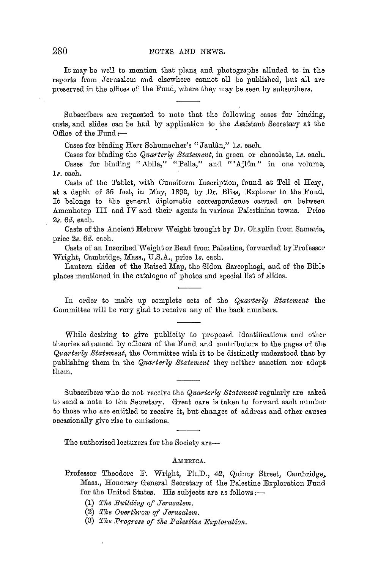It may be well to mention that plans and photographs alluded to in the reports from Jerusalem and olsewhere cannot all be published, but all are preserved in the offices of the Fund, where they may be seen by subscribers.

Subscribers are requested to note that the following oases for binding, casts, and slides can be had by application to the Assistant Secretary at the Office of the  $Fund:$ --

Cases for binding Herr Schumacher's "Jaulân," 1s. each.

Cases for binding the *Quarterly Statement*, in green or chocolate, 1s. each, Cases for binding "Abila," "Pella," and "'Ajlûn" in one volume, ls. each.

Casts of the Tablet, with Cuneiform Inscription, found at Tell el Hesy, at a depth of 35 feet, in May, 1892, by Dr. Bliss, Explorer to the Fund. It belongs to the general diplomatic correspondence carried on between Amenhotep III and IV and their agents in various Palestinian towns. Price *2s. 6d.* each.

Casts of the Ancient Hebrew Weight brought by Dr. Chaplin from Samaria, price *2s. 6d.* each.

Casts of an Inscribed Weight or Bead from Palestine, forwarded by Professor Wright, Cambridge, Mass., U.S.A., price 1s. each.

Lantern slides of the Raised Map, the Sidon Sarcophagi, and of the Bible places mentioned in the catalogue of photos and special list of slides.

In order to make up complete sets of the *Quarterly Statement* the Committee will be very glad to receive any of the back numbers.

While desiring to give publicity to proposed identifications and other theories advanced by officers of the Fund and contributors to the pages of the Quarterly Statement, the Committee wish it to be distinctly understood that by publishing them in the *Quarterly Statement* they neither sanction nor adopt them.

Subscribers who do not receive the *Quarterly Statement* regularly are asked to send a note to the Secretary. Great care is taken to forward each number to those who are entitled to receive it, but changes of address and other causes occasionally give rise to omissions.

The authorised lecturers for the Society are-

#### AMERICA.

- (1) The Building of Jerusalem.
- (2) *The Ovei·tlwow of Jerusalem.*
- (3) The Progress of the Palestine Exploration.

Professor Theodore F. Wright, Ph.D., 42, Quincy Street, Cambridge, Mass., Honorary General Secretary of the Palestine Exploration Fund for the United States. His subjects are as follows: $-$